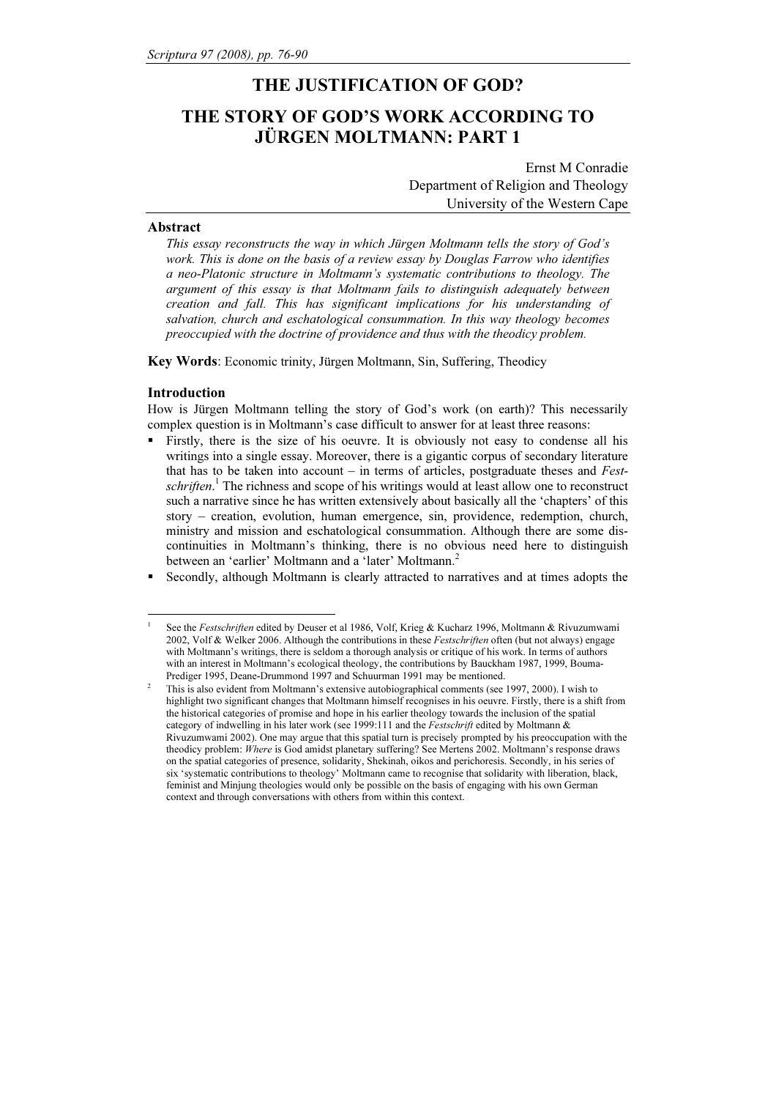# THE JUSTIFICATION OF GOD? THE STORY OF GOD'S WORK ACCORDING TO JÜRGEN MOLTMANN: PART 1

Ernst M Conradie Department of Religion and Theology University of the Western Cape

#### Abstract

This essay reconstructs the way in which Jürgen Moltmann tells the story of God's work. This is done on the basis of a review essay by Douglas Farrow who identifies a neo-Platonic structure in Moltmann's systematic contributions to theology. The argument of this essay is that Moltmann fails to distinguish adequately between creation and fall. This has significant implications for his understanding of salvation, church and eschatological consummation. In this way theology becomes preoccupied with the doctrine of providence and thus with the theodicy problem.

Key Words: Economic trinity, Jürgen Moltmann, Sin, Suffering, Theodicy

#### Introduction

How is Jürgen Moltmann telling the story of God's work (on earth)? This necessarily complex question is in Moltmann's case difficult to answer for at least three reasons:

- Firstly, there is the size of his oeuvre. It is obviously not easy to condense all his writings into a single essay. Moreover, there is a gigantic corpus of secondary literature that has to be taken into account – in terms of articles, postgraduate theses and Festschriften.<sup>1</sup> The richness and scope of his writings would at least allow one to reconstruct such a narrative since he has written extensively about basically all the 'chapters' of this story – creation, evolution, human emergence, sin, providence, redemption, church, ministry and mission and eschatological consummation. Although there are some discontinuities in Moltmann's thinking, there is no obvious need here to distinguish between an 'earlier' Moltmann and a 'later' Moltmann.<sup>2</sup>
- Secondly, although Moltmann is clearly attracted to narratives and at times adopts the

<sup>1</sup> See the Festschriften edited by Deuser et al 1986, Volf, Krieg & Kucharz 1996, Moltmann & Rivuzumwami 2002, Volf & Welker 2006. Although the contributions in these Festschriften often (but not always) engage with Moltmann's writings, there is seldom a thorough analysis or critique of his work. In terms of authors with an interest in Moltmann's ecological theology, the contributions by Bauckham 1987, 1999, Bouma-Prediger 1995, Deane-Drummond 1997 and Schuurman 1991 may be mentioned.

<sup>2</sup> This is also evident from Moltmann's extensive autobiographical comments (see 1997, 2000). I wish to highlight two significant changes that Moltmann himself recognises in his oeuvre. Firstly, there is a shift from the historical categories of promise and hope in his earlier theology towards the inclusion of the spatial category of indwelling in his later work (see 1999:111 and the Festschrift edited by Moltmann & Rivuzumwami 2002). One may argue that this spatial turn is precisely prompted by his preoccupation with the theodicy problem: Where is God amidst planetary suffering? See Mertens 2002. Moltmann's response draws on the spatial categories of presence, solidarity, Shekinah, oikos and perichoresis. Secondly, in his series of six 'systematic contributions to theology' Moltmann came to recognise that solidarity with liberation, black, feminist and Minjung theologies would only be possible on the basis of engaging with his own German context and through conversations with others from within this context.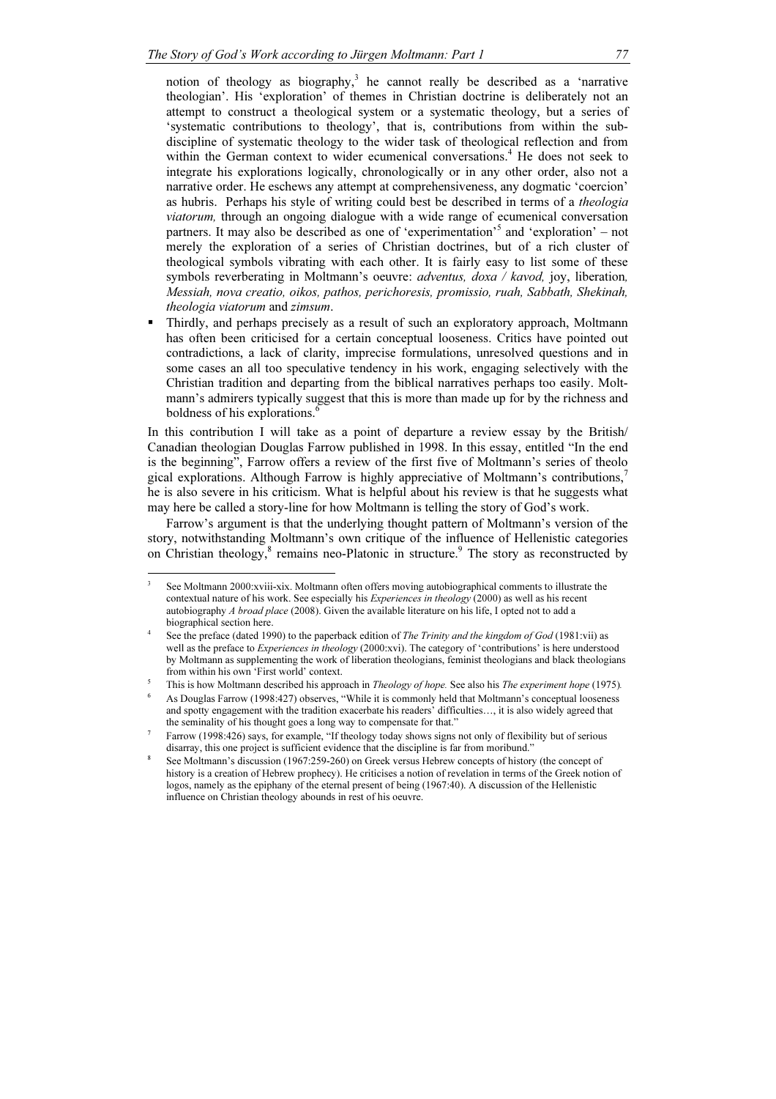notion of theology as biography,<sup>3</sup> he cannot really be described as a 'narrative theologian'. His 'exploration' of themes in Christian doctrine is deliberately not an attempt to construct a theological system or a systematic theology, but a series of 'systematic contributions to theology', that is, contributions from within the subdiscipline of systematic theology to the wider task of theological reflection and from within the German context to wider ecumenical conversations.<sup>4</sup> He does not seek to integrate his explorations logically, chronologically or in any other order, also not a narrative order. He eschews any attempt at comprehensiveness, any dogmatic 'coercion' as hubris. Perhaps his style of writing could best be described in terms of a theologia viatorum, through an ongoing dialogue with a wide range of ecumenical conversation partners. It may also be described as one of 'experimentation'<sup>5</sup> and 'exploration' – not merely the exploration of a series of Christian doctrines, but of a rich cluster of theological symbols vibrating with each other. It is fairly easy to list some of these symbols reverberating in Moltmann's oeuvre: adventus, doxa / kavod, joy, liberation, Messiah, nova creatio, oikos, pathos, perichoresis, promissio, ruah, Sabbath, Shekinah, theologia viatorum and zimsum.

 Thirdly, and perhaps precisely as a result of such an exploratory approach, Moltmann has often been criticised for a certain conceptual looseness. Critics have pointed out contradictions, a lack of clarity, imprecise formulations, unresolved questions and in some cases an all too speculative tendency in his work, engaging selectively with the Christian tradition and departing from the biblical narratives perhaps too easily. Moltmann's admirers typically suggest that this is more than made up for by the richness and boldness of his explorations.<sup>6</sup>

In this contribution I will take as a point of departure a review essay by the British/ Canadian theologian Douglas Farrow published in 1998. In this essay, entitled "In the end is the beginning", Farrow offers a review of the first five of Moltmann's series of theolo gical explorations. Although Farrow is highly appreciative of Moltmann's contributions,<sup>7</sup> he is also severe in his criticism. What is helpful about his review is that he suggests what may here be called a story-line for how Moltmann is telling the story of God's work.

Farrow's argument is that the underlying thought pattern of Moltmann's version of the story, notwithstanding Moltmann's own critique of the influence of Hellenistic categories on Christian theology,<sup>8</sup> remains neo-Platonic in structure.<sup>9</sup> The story as reconstructed by

 3 See Moltmann 2000:xviii-xix. Moltmann often offers moving autobiographical comments to illustrate the contextual nature of his work. See especially his Experiences in theology (2000) as well as his recent autobiography A broad place (2008). Given the available literature on his life, I opted not to add a biographical section here.

<sup>4</sup> See the preface (dated 1990) to the paperback edition of The Trinity and the kingdom of God (1981:vii) as well as the preface to *Experiences in theology* (2000:xvi). The category of 'contributions' is here understood by Moltmann as supplementing the work of liberation theologians, feminist theologians and black theologians from within his own 'First world' context. <sup>5</sup>

This is how Moltmann described his approach in *Theology of hope*. See also his *The experiment hope* (1975).

<sup>6</sup> As Douglas Farrow (1998:427) observes, "While it is commonly held that Moltmann's conceptual looseness and spotty engagement with the tradition exacerbate his readers' difficulties…, it is also widely agreed that the seminality of his thought goes a long way to compensate for that."

<sup>7</sup> Farrow (1998:426) says, for example, "If theology today shows signs not only of flexibility but of serious disarray, this one project is sufficient evidence that the discipline is far from moribund."

<sup>8</sup> See Moltmann's discussion (1967:259-260) on Greek versus Hebrew concepts of history (the concept of history is a creation of Hebrew prophecy). He criticises a notion of revelation in terms of the Greek notion of logos, namely as the epiphany of the eternal present of being (1967:40). A discussion of the Hellenistic influence on Christian theology abounds in rest of his oeuvre.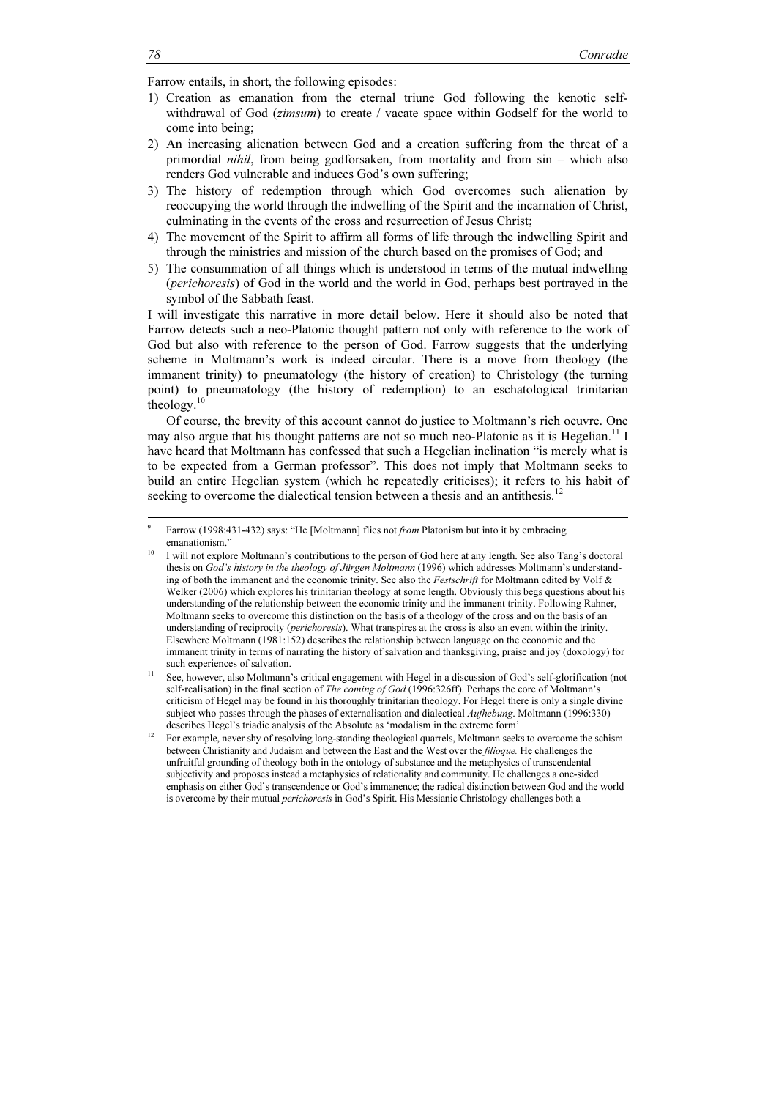Farrow entails, in short, the following episodes:

- 1) Creation as emanation from the eternal triune God following the kenotic selfwithdrawal of God (*zimsum*) to create / vacate space within Godself for the world to come into being;
- 2) An increasing alienation between God and a creation suffering from the threat of a primordial nihil, from being godforsaken, from mortality and from sin – which also renders God vulnerable and induces God's own suffering;
- 3) The history of redemption through which God overcomes such alienation by reoccupying the world through the indwelling of the Spirit and the incarnation of Christ, culminating in the events of the cross and resurrection of Jesus Christ;
- 4) The movement of the Spirit to affirm all forms of life through the indwelling Spirit and through the ministries and mission of the church based on the promises of God; and
- 5) The consummation of all things which is understood in terms of the mutual indwelling (perichoresis) of God in the world and the world in God, perhaps best portrayed in the symbol of the Sabbath feast.

I will investigate this narrative in more detail below. Here it should also be noted that Farrow detects such a neo-Platonic thought pattern not only with reference to the work of God but also with reference to the person of God. Farrow suggests that the underlying scheme in Moltmann's work is indeed circular. There is a move from theology (the immanent trinity) to pneumatology (the history of creation) to Christology (the turning point) to pneumatology (the history of redemption) to an eschatological trinitarian theology.

Of course, the brevity of this account cannot do justice to Moltmann's rich oeuvre. One may also argue that his thought patterns are not so much neo-Platonic as it is Hegelian.<sup>11</sup> I have heard that Moltmann has confessed that such a Hegelian inclination "is merely what is to be expected from a German professor". This does not imply that Moltmann seeks to build an entire Hegelian system (which he repeatedly criticises); it refers to his habit of seeking to overcome the dialectical tension between a thesis and an antithesis.<sup>12</sup>

<sup>9</sup> Farrow (1998:431-432) says: "He [Moltmann] flies not from Platonism but into it by embracing emanationism."

<sup>&</sup>lt;sup>10</sup> I will not explore Moltmann's contributions to the person of God here at any length. See also Tang's doctoral thesis on God's history in the theology of Jürgen Moltmann (1996) which addresses Moltmann's understanding of both the immanent and the economic trinity. See also the Festschrift for Moltmann edited by Volf & Welker (2006) which explores his trinitarian theology at some length. Obviously this begs questions about his understanding of the relationship between the economic trinity and the immanent trinity. Following Rahner, Moltmann seeks to overcome this distinction on the basis of a theology of the cross and on the basis of an understanding of reciprocity (perichoresis). What transpires at the cross is also an event within the trinity. Elsewhere Moltmann (1981:152) describes the relationship between language on the economic and the immanent trinity in terms of narrating the history of salvation and thanksgiving, praise and joy (doxology) for such experiences of salvation.

<sup>&</sup>lt;sup>11</sup> See, however, also Moltmann's critical engagement with Hegel in a discussion of God's self-glorification (not self-realisation) in the final section of *The coming of God* (1996:326ff). Perhans the core of Moltmann's criticism of Hegel may be found in his thoroughly trinitarian theology. For Hegel there is only a single divine subject who passes through the phases of externalisation and dialectical Aufhebung. Moltmann (1996:330) describes Hegel's triadic analysis of the Absolute as 'modalism in the extreme form'

<sup>&</sup>lt;sup>12</sup> For example, never shy of resolving long-standing theological quarrels, Moltmann seeks to overcome the schism between Christianity and Judaism and between the East and the West over the filioque. He challenges the unfruitful grounding of theology both in the ontology of substance and the metaphysics of transcendental subjectivity and proposes instead a metaphysics of relationality and community. He challenges a one-sided emphasis on either God's transcendence or God's immanence; the radical distinction between God and the world is overcome by their mutual *perichoresis* in God's Spirit. His Messianic Christology challenges both a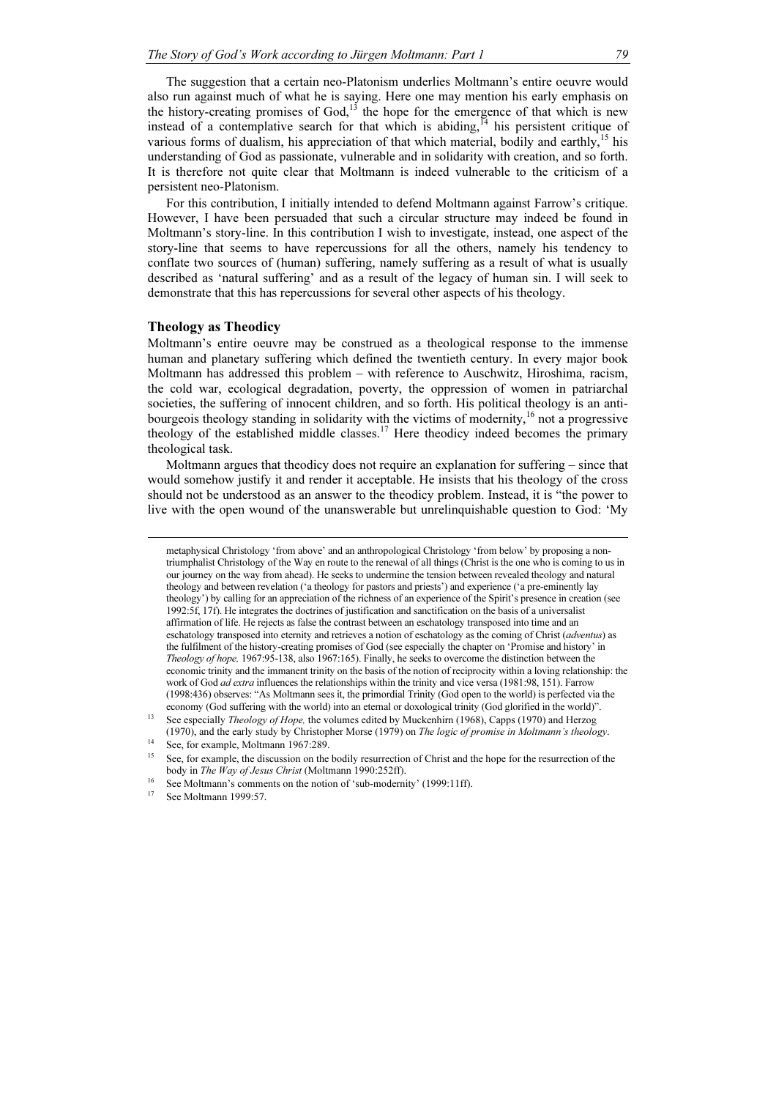The suggestion that a certain neo-Platonism underlies Moltmann's entire oeuvre would also run against much of what he is saying. Here one may mention his early emphasis on the history-creating promises of God, $13$  the hope for the emergence of that which is new instead of a contemplative search for that which is abiding, $14$  his persistent critique of various forms of dualism, his appreciation of that which material, bodily and earthly,<sup>15</sup> his understanding of God as passionate, vulnerable and in solidarity with creation, and so forth. It is therefore not quite clear that Moltmann is indeed vulnerable to the criticism of a persistent neo-Platonism.

For this contribution, I initially intended to defend Moltmann against Farrow's critique. However, I have been persuaded that such a circular structure may indeed be found in Moltmann's story-line. In this contribution I wish to investigate, instead, one aspect of the story-line that seems to have repercussions for all the others, namely his tendency to conflate two sources of (human) suffering, namely suffering as a result of what is usually described as 'natural suffering' and as a result of the legacy of human sin. I will seek to demonstrate that this has repercussions for several other aspects of his theology.

#### Theology as Theodicy

Moltmann's entire oeuvre may be construed as a theological response to the immense human and planetary suffering which defined the twentieth century. In every major book Moltmann has addressed this problem – with reference to Auschwitz, Hiroshima, racism, the cold war, ecological degradation, poverty, the oppression of women in patriarchal societies, the suffering of innocent children, and so forth. His political theology is an antibourgeois theology standing in solidarity with the victims of modernity,<sup>16</sup> not a progressive theology of the established middle classes.<sup>17</sup> Here theodicy indeed becomes the primary theological task.

Moltmann argues that theodicy does not require an explanation for suffering – since that would somehow justify it and render it acceptable. He insists that his theology of the cross should not be understood as an answer to the theodicy problem. Instead, it is "the power to live with the open wound of the unanswerable but unrelinquishable question to God: 'My

metaphysical Christology 'from above' and an anthropological Christology 'from below' by proposing a nontriumphalist Christology of the Way en route to the renewal of all things (Christ is the one who is coming to us in our journey on the way from ahead). He seeks to undermine the tension between revealed theology and natural theology and between revelation ('a theology for pastors and priests') and experience ('a pre-eminently lay theology') by calling for an appreciation of the richness of an experience of the Spirit's presence in creation (see 1992:5f, 17f). He integrates the doctrines of justification and sanctification on the basis of a universalist affirmation of life. He rejects as false the contrast between an eschatology transposed into time and an eschatology transposed into eternity and retrieves a notion of eschatology as the coming of Christ (adventus) as the fulfilment of the history-creating promises of God (see especially the chapter on 'Promise and history' in Theology of hope, 1967:95-138, also 1967:165). Finally, he seeks to overcome the distinction between the economic trinity and the immanent trinity on the basis of the notion of reciprocity within a loving relationship: the work of God *ad extra* influences the relationships within the trinity and vice versa (1981:98, 151). Farrow (1998:436) observes: "As Moltmann sees it, the primordial Trinity (God open to the world) is perfected via the economy (God suffering with the world) into an eternal or doxological trinity (God glorified in the world)".

<sup>&</sup>lt;sup>13</sup> See especially *Theology of Hope*, the volumes edited by Muckenhirn (1968), Capps (1970) and Herzog

<sup>(1970),</sup> and the early study by Christopher Morse (1979) on *The logic of promise in Moltmann's theology*.<br><sup>14</sup> See, for example, Moltmann 1967:289.

<sup>15</sup> See, for example, the discussion on the bodily resurrection of Christ and the hope for the resurrection of the body in *The Way of Jesus Christ* (Moltmann 1990:252ff).<br><sup>16</sup> See Moltmann's comments on the notion of 'sub-modernity' (1999:11ff).<br><sup>17</sup> See Moltmann 1000:57

See Moltmann 1999:57.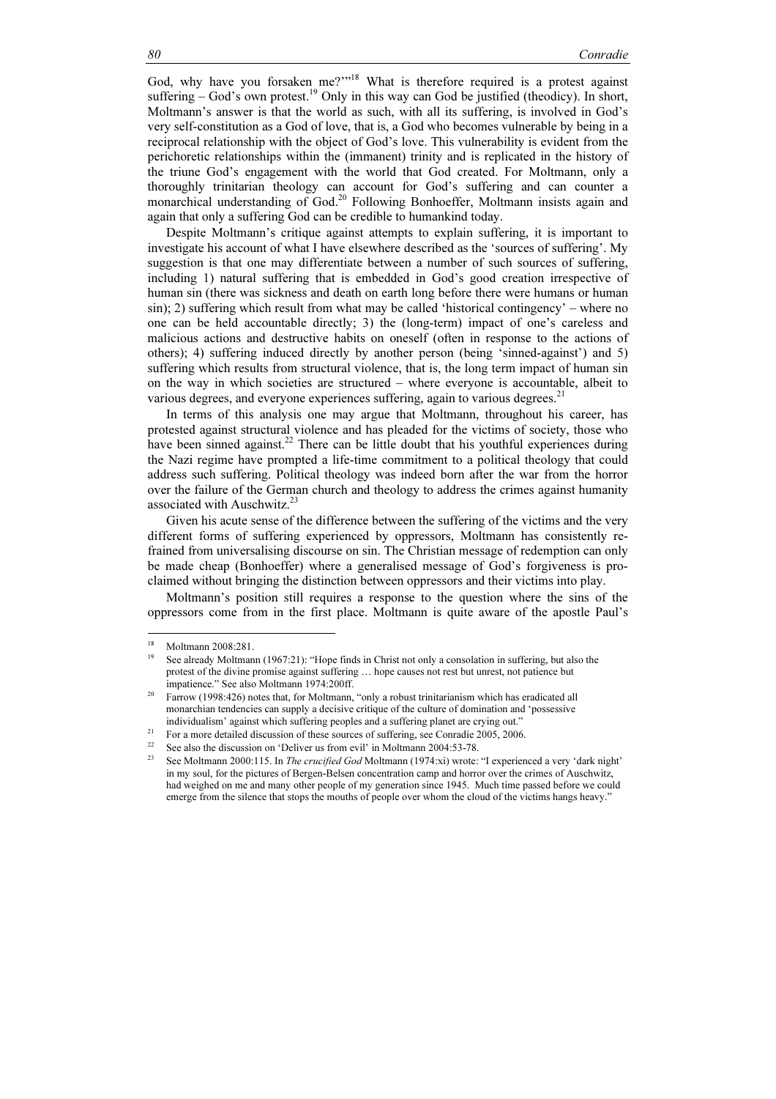God, why have you forsaken me?""<sup>18</sup> What is therefore required is a protest against suffering  $-$  God's own protest.<sup>19</sup> Only in this way can God be justified (theodicy). In short, Moltmann's answer is that the world as such, with all its suffering, is involved in God's very self-constitution as a God of love, that is, a God who becomes vulnerable by being in a reciprocal relationship with the object of God's love. This vulnerability is evident from the perichoretic relationships within the (immanent) trinity and is replicated in the history of the triune God's engagement with the world that God created. For Moltmann, only a thoroughly trinitarian theology can account for God's suffering and can counter a monarchical understanding of God.<sup>20</sup> Following Bonhoeffer, Moltmann insists again and again that only a suffering God can be credible to humankind today.

Despite Moltmann's critique against attempts to explain suffering, it is important to investigate his account of what I have elsewhere described as the 'sources of suffering'. My suggestion is that one may differentiate between a number of such sources of suffering, including 1) natural suffering that is embedded in God's good creation irrespective of human sin (there was sickness and death on earth long before there were humans or human sin); 2) suffering which result from what may be called 'historical contingency' – where no one can be held accountable directly; 3) the (long-term) impact of one's careless and malicious actions and destructive habits on oneself (often in response to the actions of others); 4) suffering induced directly by another person (being 'sinned-against') and 5) suffering which results from structural violence, that is, the long term impact of human sin on the way in which societies are structured – where everyone is accountable, albeit to various degrees, and everyone experiences suffering, again to various degrees.<sup>21</sup>

In terms of this analysis one may argue that Moltmann, throughout his career, has protested against structural violence and has pleaded for the victims of society, those who have been sinned against.<sup>22</sup> There can be little doubt that his youthful experiences during the Nazi regime have prompted a life-time commitment to a political theology that could address such suffering. Political theology was indeed born after the war from the horror over the failure of the German church and theology to address the crimes against humanity associated with Auschwitz.<sup>23</sup>

Given his acute sense of the difference between the suffering of the victims and the very different forms of suffering experienced by oppressors, Moltmann has consistently refrained from universalising discourse on sin. The Christian message of redemption can only be made cheap (Bonhoeffer) where a generalised message of God's forgiveness is proclaimed without bringing the distinction between oppressors and their victims into play.

Moltmann's position still requires a response to the question where the sins of the oppressors come from in the first place. Moltmann is quite aware of the apostle Paul's

 $^{18}$  Moltmann 2008:281.

<sup>19</sup> See already Moltmann (1967:21): "Hope finds in Christ not only a consolation in suffering, but also the protest of the divine promise against suffering … hope causes not rest but unrest, not patience but impatience." See also Moltmann 1974:200ff.

Farrow (1998:426) notes that, for Moltmann, "only a robust trinitarianism which has eradicated all monarchian tendencies can supply a decisive critique of the culture of domination and 'possessive individualism' against which suffering peoples and a suffering planet are crying out."<br><sup>21</sup> For a more detailed discussion of these sources of suffering, see Conradie 2005, 2006.

<sup>&</sup>lt;sup>22</sup> See also the discussion on 'Deliver us from evil' in Moltmann 2004:53-78.

See Moltmann 2000:115. In The crucified God Moltmann (1974:xi) wrote: "I experienced a very 'dark night' in my soul, for the pictures of Bergen-Belsen concentration camp and horror over the crimes of Auschwitz, had weighed on me and many other people of my generation since 1945. Much time passed before we could emerge from the silence that stops the mouths of people over whom the cloud of the victims hangs heavy."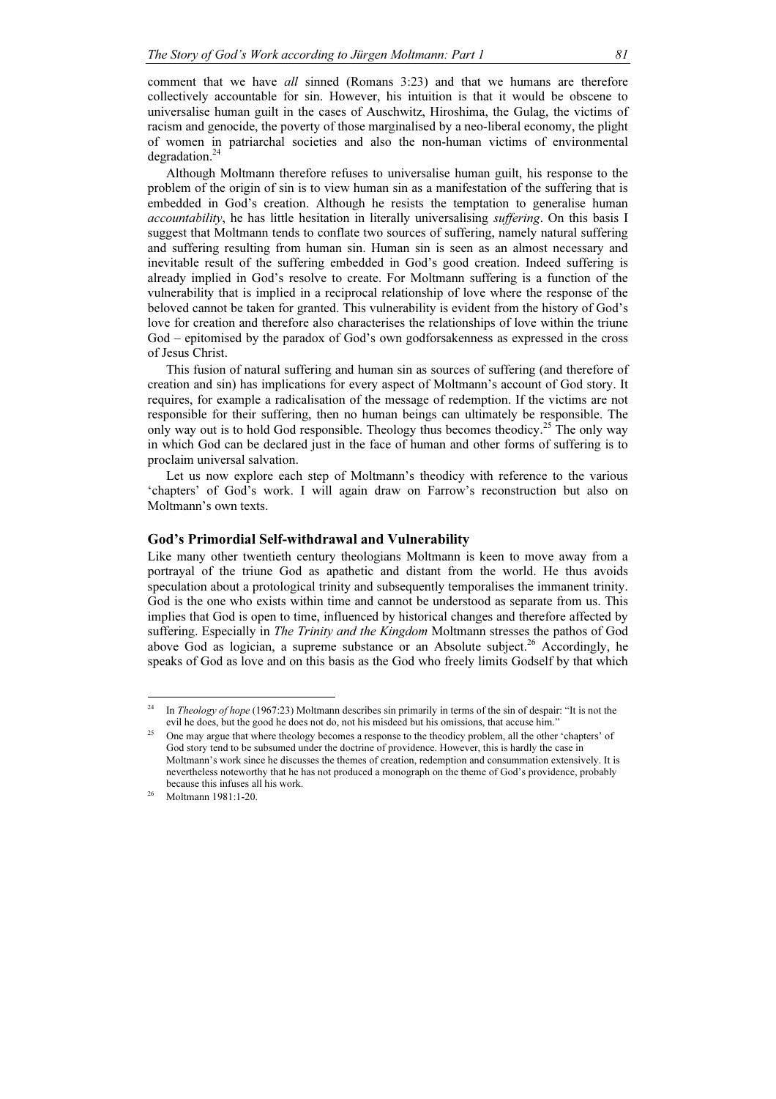comment that we have *all* sinned (Romans 3:23) and that we humans are therefore collectively accountable for sin. However, his intuition is that it would be obscene to universalise human guilt in the cases of Auschwitz, Hiroshima, the Gulag, the victims of racism and genocide, the poverty of those marginalised by a neo-liberal economy, the plight of women in patriarchal societies and also the non-human victims of environmental degradation. $^{24}$ 

Although Moltmann therefore refuses to universalise human guilt, his response to the problem of the origin of sin is to view human sin as a manifestation of the suffering that is embedded in God's creation. Although he resists the temptation to generalise human accountability, he has little hesitation in literally universalising *suffering*. On this basis I suggest that Moltmann tends to conflate two sources of suffering, namely natural suffering and suffering resulting from human sin. Human sin is seen as an almost necessary and inevitable result of the suffering embedded in God's good creation. Indeed suffering is already implied in God's resolve to create. For Moltmann suffering is a function of the vulnerability that is implied in a reciprocal relationship of love where the response of the beloved cannot be taken for granted. This vulnerability is evident from the history of God's love for creation and therefore also characterises the relationships of love within the triune God – epitomised by the paradox of God's own godforsakenness as expressed in the cross of Jesus Christ.

This fusion of natural suffering and human sin as sources of suffering (and therefore of creation and sin) has implications for every aspect of Moltmann's account of God story. It requires, for example a radicalisation of the message of redemption. If the victims are not responsible for their suffering, then no human beings can ultimately be responsible. The only way out is to hold God responsible. Theology thus becomes theodicy.<sup>25</sup> The only way in which God can be declared just in the face of human and other forms of suffering is to proclaim universal salvation.

Let us now explore each step of Moltmann's theodicy with reference to the various 'chapters' of God's work. I will again draw on Farrow's reconstruction but also on Moltmann's own texts.

### God's Primordial Self-withdrawal and Vulnerability

Like many other twentieth century theologians Moltmann is keen to move away from a portrayal of the triune God as apathetic and distant from the world. He thus avoids speculation about a protological trinity and subsequently temporalises the immanent trinity. God is the one who exists within time and cannot be understood as separate from us. This implies that God is open to time, influenced by historical changes and therefore affected by suffering. Especially in *The Trinity and the Kingdom* Moltmann stresses the pathos of God above God as logician, a supreme substance or an Absolute subject.<sup>26</sup> Accordingly, he speaks of God as love and on this basis as the God who freely limits Godself by that which

 $\overline{24}$ In Theology of hope (1967:23) Moltmann describes sin primarily in terms of the sin of despair: "It is not the evil he does, but the good he does not do, not his misdeed but his omissions, that accuse him."

<sup>25</sup> One may argue that where theology becomes a response to the theodicy problem, all the other 'chapters' of God story tend to be subsumed under the doctrine of providence. However, this is hardly the case in Moltmann's work since he discusses the themes of creation, redemption and consummation extensively. It is nevertheless noteworthy that he has not produced a monograph on the theme of God's providence, probably because this infuses all his work.<br><sup>26</sup> Moltmann 1981:1-20.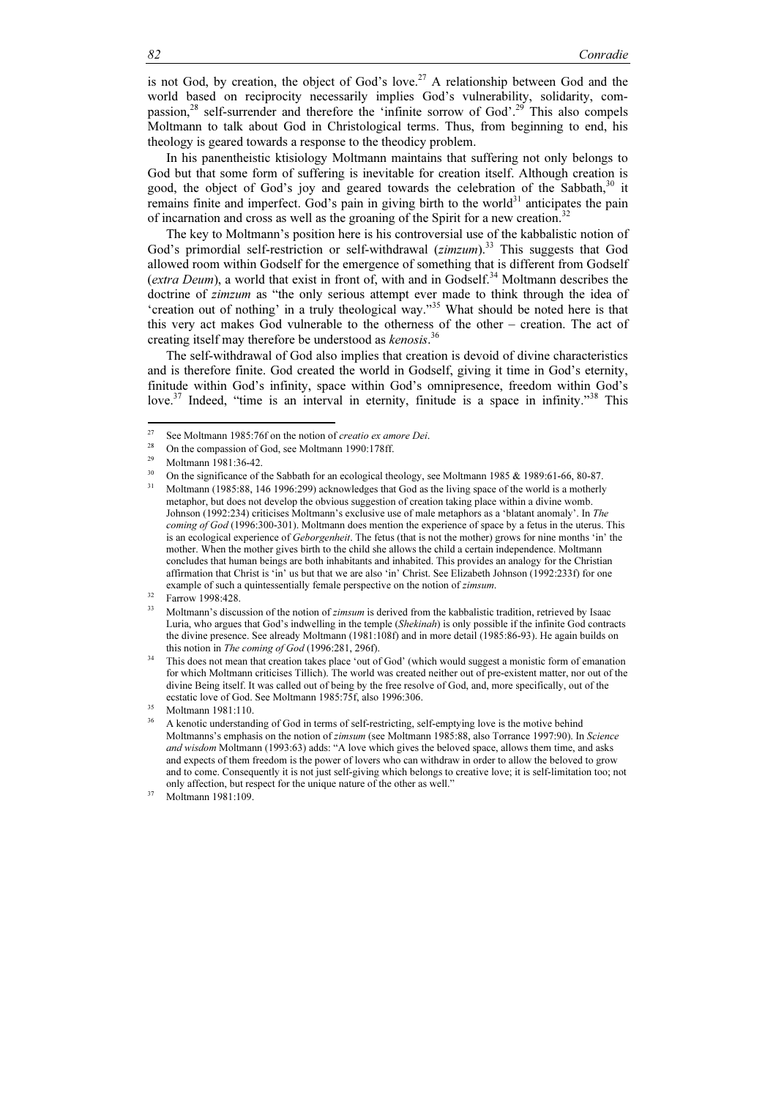is not God, by creation, the object of God's love.<sup>27</sup> A relationship between God and the world based on reciprocity necessarily implies God's vulnerability, solidarity, compassion,<sup>28</sup> self-surrender and therefore the 'infinite sorrow of God'.<sup>29</sup> This also compels Moltmann to talk about God in Christological terms. Thus, from beginning to end, his theology is geared towards a response to the theodicy problem.

In his panentheistic ktisiology Moltmann maintains that suffering not only belongs to God but that some form of suffering is inevitable for creation itself. Although creation is good, the object of God's joy and geared towards the celebration of the Sabbath, $30$  it remains finite and imperfect. God's pain in giving birth to the world $31$  anticipates the pain of incarnation and cross as well as the groaning of the Spirit for a new creation.<sup>32</sup>

The key to Moltmann's position here is his controversial use of the kabbalistic notion of God's primordial self-restriction or self-withdrawal (zimzum).<sup>33</sup> This suggests that God allowed room within Godself for the emergence of something that is different from Godself (extra Deum), a world that exist in front of, with and in Godself.<sup>34</sup> Moltmann describes the doctrine of zimzum as "the only serious attempt ever made to think through the idea of 'creation out of nothing' in a truly theological way."<sup>35</sup> What should be noted here is that this very act makes God vulnerable to the otherness of the other – creation. The act of creating itself may therefore be understood as kenosis.<sup>36</sup>

The self-withdrawal of God also implies that creation is devoid of divine characteristics and is therefore finite. God created the world in Godself, giving it time in God's eternity, finitude within God's infinity, space within God's omnipresence, freedom within God's love.<sup>37</sup> Indeed, "time is an interval in eternity, finitude is a space in infinity."<sup>38</sup> This

<sup>31</sup> Moltmann (1985:88, 146 1996:299) acknowledges that God as the living space of the world is a motherly metaphor, but does not develop the obvious suggestion of creation taking place within a divine womb. Johnson (1992:234) criticises Moltmann's exclusive use of male metaphors as a 'blatant anomaly'. In The coming of God (1996:300-301). Moltmann does mention the experience of space by a fetus in the uterus. This is an ecological experience of Geborgenheit. The fetus (that is not the mother) grows for nine months 'in' the mother. When the mother gives birth to the child she allows the child a certain independence. Moltmann concludes that human beings are both inhabitants and inhabited. This provides an analogy for the Christian affirmation that Christ is 'in' us but that we are also 'in' Christ. See Elizabeth Johnson (1992:233f) for one example of such a quintessentially female perspective on the notion of *zimsum*.<br><sup>32</sup> Farrow 1998:428

 $\overline{27}$ <sup>27</sup> See Moltmann 1985:76f on the notion of *creatio ex amore Dei.*<br><sup>28</sup> On the compassion of God, see Moltmann 1990:178ff.

<sup>29</sup> Moltmann 1981:36-42.

<sup>&</sup>lt;sup>30</sup> On the significance of the Sabbath for an ecological theology, see Moltmann 1985 & 1989:61-66, 80-87.

Moltmann's discussion of the notion of *zimsum* is derived from the kabbalistic tradition, retrieved by Isaac Luria, who argues that God's indwelling in the temple (Shekinah) is only possible if the infinite God contracts the divine presence. See already Moltmann (1981:108f) and in more detail (1985:86-93). He again builds on this notion in The coming of God (1996:281, 296f).

<sup>&</sup>lt;sup>34</sup> This does not mean that creation takes place 'out of God' (which would suggest a monistic form of emanation for which Moltmann criticises Tillich). The world was created neither out of pre-existent matter, nor out of the divine Being itself. It was called out of being by the free resolve of God, and, more specifically, out of the ecstatic love of God. See Moltmann 1985:75f, also 1996:306.<br>Moltmann 1981:110.

<sup>36</sup> A kenotic understanding of God in terms of self-restricting, self-emptying love is the motive behind Moltmanns's emphasis on the notion of zimsum (see Moltmann 1985:88, also Torrance 1997:90). In Science and wisdom Moltmann (1993:63) adds: "A love which gives the beloved space, allows them time, and asks and expects of them freedom is the power of lovers who can withdraw in order to allow the beloved to grow and to come. Consequently it is not just self-giving which belongs to creative love; it is self-limitation too; not only affection, but respect for the unique nature of the other as well."<br><sup>37</sup> Moltmann 1981:109.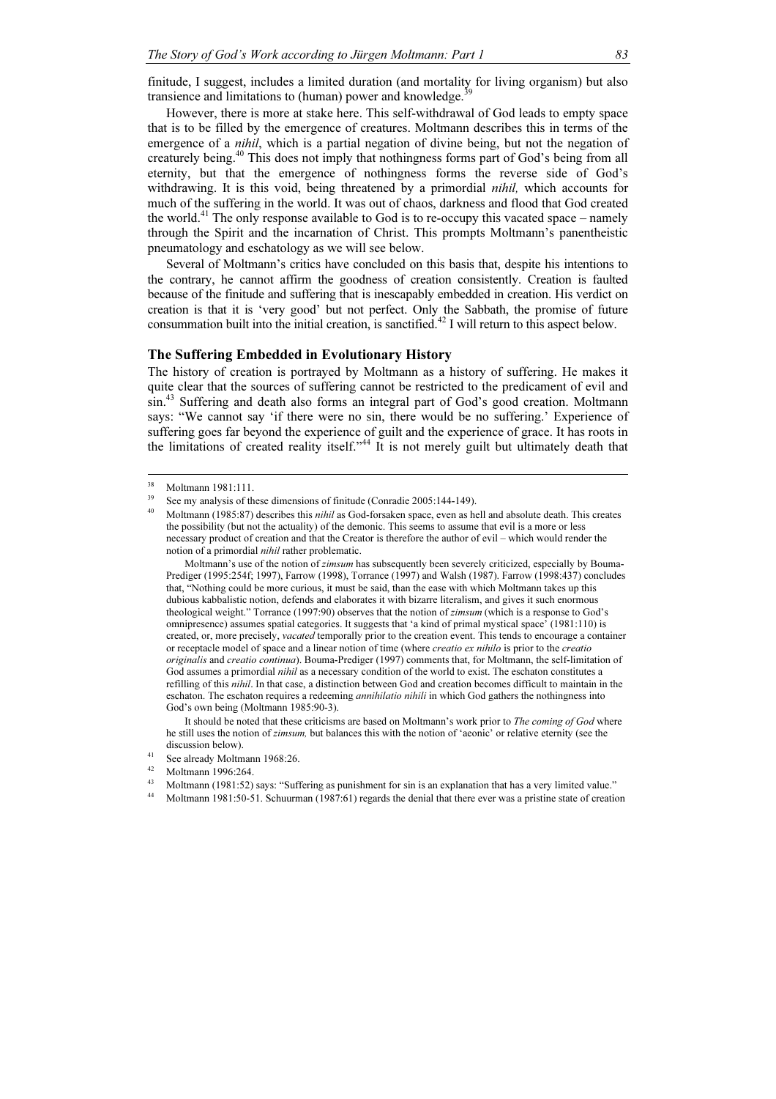finitude, I suggest, includes a limited duration (and mortality for living organism) but also transience and limitations to (human) power and knowledge.<sup>3</sup>

However, there is more at stake here. This self-withdrawal of God leads to empty space that is to be filled by the emergence of creatures. Moltmann describes this in terms of the emergence of a *nihil*, which is a partial negation of divine being, but not the negation of creaturely being.<sup>40</sup> This does not imply that nothingness forms part of God's being from all eternity, but that the emergence of nothingness forms the reverse side of God's withdrawing. It is this void, being threatened by a primordial *nihil*, which accounts for much of the suffering in the world. It was out of chaos, darkness and flood that God created the world.<sup>41</sup> The only response available to God is to re-occupy this vacated space – namely through the Spirit and the incarnation of Christ. This prompts Moltmann's panentheistic pneumatology and eschatology as we will see below.

Several of Moltmann's critics have concluded on this basis that, despite his intentions to the contrary, he cannot affirm the goodness of creation consistently. Creation is faulted because of the finitude and suffering that is inescapably embedded in creation. His verdict on creation is that it is 'very good' but not perfect. Only the Sabbath, the promise of future consummation built into the initial creation, is sanctified.<sup>42</sup> I will return to this aspect below.

## The Suffering Embedded in Evolutionary History

The history of creation is portrayed by Moltmann as a history of suffering. He makes it quite clear that the sources of suffering cannot be restricted to the predicament of evil and sin.<sup>43</sup> Suffering and death also forms an integral part of God's good creation. Moltmann says: "We cannot say 'if there were no sin, there would be no suffering.' Experience of suffering goes far beyond the experience of guilt and the experience of grace. It has roots in the limitations of created reality itself."<sup>44</sup> It is not merely guilt but ultimately death that

Moltmann's use of the notion of zimsum has subsequently been severely criticized, especially by Bouma-Prediger (1995:254f; 1997), Farrow (1998), Torrance (1997) and Walsh (1987). Farrow (1998:437) concludes that, "Nothing could be more curious, it must be said, than the ease with which Moltmann takes up this dubious kabbalistic notion, defends and elaborates it with bizarre literalism, and gives it such enormous theological weight." Torrance (1997:90) observes that the notion of zimsum (which is a response to God's omnipresence) assumes spatial categories. It suggests that 'a kind of primal mystical space' (1981:110) is created, or, more precisely, vacated temporally prior to the creation event. This tends to encourage a container or receptacle model of space and a linear notion of time (where creatio ex nihilo is prior to the creatio originalis and creatio continua). Bouma-Prediger (1997) comments that, for Moltmann, the self-limitation of God assumes a primordial *nihil* as a necessary condition of the world to exist. The eschaton constitutes a refilling of this nihil. In that case, a distinction between God and creation becomes difficult to maintain in the eschaton. The eschaton requires a redeeming *annihilatio nihili* in which God gathers the nothingness into God's own being (Moltmann 1985:90-3).

It should be noted that these criticisms are based on Moltmann's work prior to The coming of God where he still uses the notion of *zimsum*, but balances this with the notion of 'aeonic' or relative eternity (see the

Moltmann 1981:50-51. Schuurman (1987:61) regards the denial that there ever was a pristine state of creation

 $38$ Moltmann 1981:111.

See my analysis of these dimensions of finitude (Conradie 2005:144-149).

Moltmann (1985:87) describes this *nihil* as God-forsaken space, even as hell and absolute death. This creates the possibility (but not the actuality) of the demonic. This seems to assume that evil is a more or less necessary product of creation and that the Creator is therefore the author of evil – which would render the notion of a primordial nihil rather problematic.

discussion below).<br>
<sup>41</sup> See already Moltmann 1968:26.<br>
<sup>42</sup> Moltmann 1996:264.

 $^{42}$  Moltmann 1996:264.

<sup>&</sup>lt;sup>43</sup> Moltmann (1981:52) says: "Suffering as punishment for sin is an explanation that has a very limited value."<br><sup>44</sup> Moltmann 1981:50.51, Schwampen (1987:61) recepts the dopial that there aver we a printine state of exer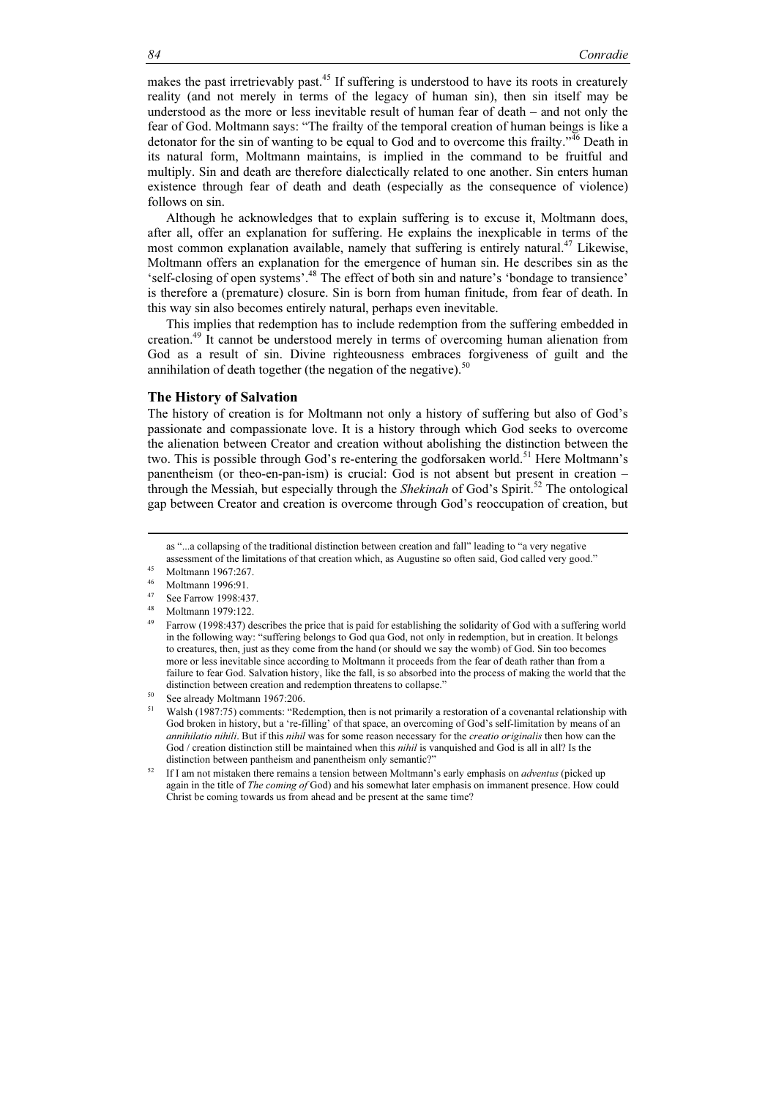makes the past irretrievably past.<sup>45</sup> If suffering is understood to have its roots in creaturely reality (and not merely in terms of the legacy of human sin), then sin itself may be understood as the more or less inevitable result of human fear of death – and not only the fear of God. Moltmann says: "The frailty of the temporal creation of human beings is like a detonator for the sin of wanting to be equal to God and to overcome this frailty."<sup>46</sup> Death in its natural form, Moltmann maintains, is implied in the command to be fruitful and multiply. Sin and death are therefore dialectically related to one another. Sin enters human existence through fear of death and death (especially as the consequence of violence) follows on sin.

Although he acknowledges that to explain suffering is to excuse it, Moltmann does, after all, offer an explanation for suffering. He explains the inexplicable in terms of the most common explanation available, namely that suffering is entirely natural.<sup>47</sup> Likewise, Moltmann offers an explanation for the emergence of human sin. He describes sin as the 'self-closing of open systems'.<sup>48</sup> The effect of both sin and nature's 'bondage to transience' is therefore a (premature) closure. Sin is born from human finitude, from fear of death. In this way sin also becomes entirely natural, perhaps even inevitable.

This implies that redemption has to include redemption from the suffering embedded in creation.<sup>49</sup> It cannot be understood merely in terms of overcoming human alienation from God as a result of sin. Divine righteousness embraces forgiveness of guilt and the annihilation of death together (the negation of the negative). $5<sup>6</sup>$ 

#### The History of Salvation

The history of creation is for Moltmann not only a history of suffering but also of God's passionate and compassionate love. It is a history through which God seeks to overcome the alienation between Creator and creation without abolishing the distinction between the two. This is possible through God's re-entering the godforsaken world.<sup>51</sup> Here Moltmann's panentheism (or theo-en-pan-ism) is crucial: God is not absent but present in creation – through the Messiah, but especially through the *Shekinah* of God's Spirit.<sup>52</sup> The ontological gap between Creator and creation is overcome through God's reoccupation of creation, but

See Farrow 1998:437.

as "...a collapsing of the traditional distinction between creation and fall" leading to "a very negative assessment of the limitations of that creation which, as Augustine so often said, God called very good." Moltmann 1967:267.

 $^{46}$  Moltmann 1996:91.

Moltmann 1979:122.

<sup>49</sup> Farrow (1998:437) describes the price that is paid for establishing the solidarity of God with a suffering world in the following way: "suffering belongs to God qua God, not only in redemption, but in creation. It belongs to creatures, then, just as they come from the hand (or should we say the womb) of God. Sin too becomes more or less inevitable since according to Moltmann it proceeds from the fear of death rather than from a failure to fear God. Salvation history, like the fall, is so absorbed into the process of making the world that the distinction between creation and redemption threatens to collapse." See already Moltmann 1967:206.

Walsh (1987:75) comments: "Redemption, then is not primarily a restoration of a covenantal relationship with God broken in history, but a 're-filling' of that space, an overcoming of God's self-limitation by means of an annihilatio nihili. But if this nihil was for some reason necessary for the creatio originalis then how can the God / creation distinction still be maintained when this *nihil* is vanquished and God is all in all? Is the distinction between pantheism and panentheism only semantic?"

 $52$  If I am not mistaken there remains a tension between Moltmann's early emphasis on *adventus* (picked up again in the title of The coming of God) and his somewhat later emphasis on immanent presence. How could Christ be coming towards us from ahead and be present at the same time?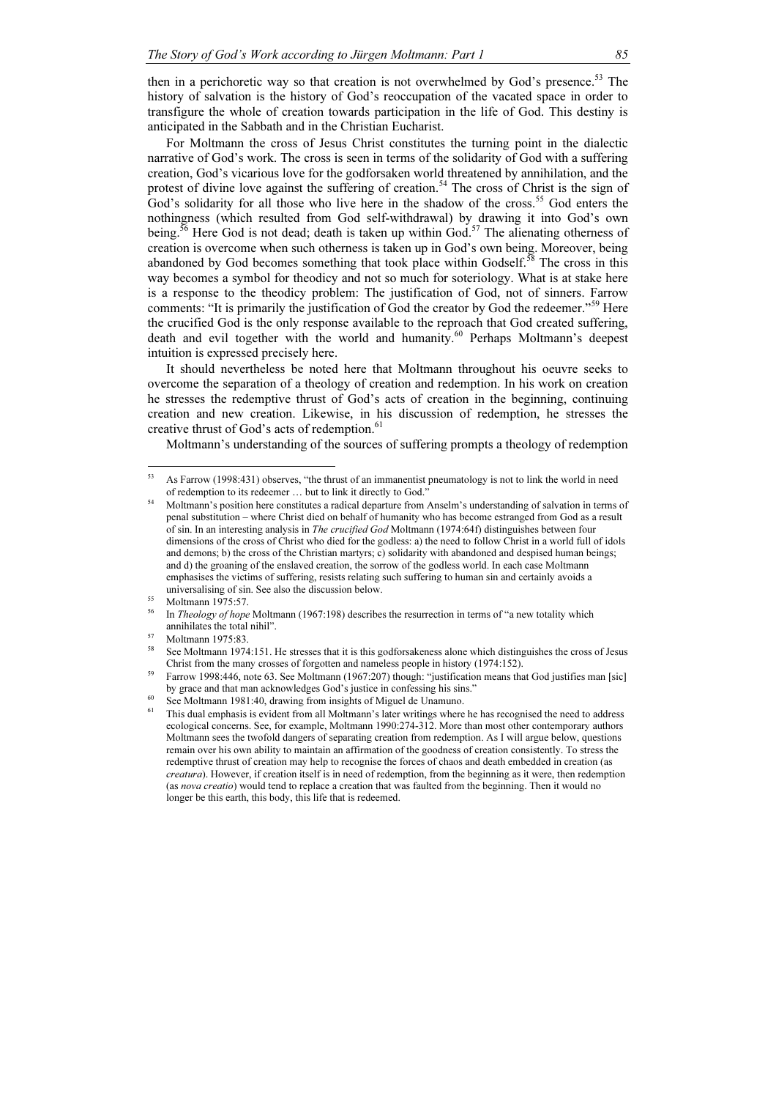then in a perichoretic way so that creation is not overwhelmed by God's presence.<sup>53</sup> The history of salvation is the history of God's reoccupation of the vacated space in order to transfigure the whole of creation towards participation in the life of God. This destiny is anticipated in the Sabbath and in the Christian Eucharist.

For Moltmann the cross of Jesus Christ constitutes the turning point in the dialectic narrative of God's work. The cross is seen in terms of the solidarity of God with a suffering creation, God's vicarious love for the godforsaken world threatened by annihilation, and the protest of divine love against the suffering of creation.<sup>54</sup> The cross of Christ is the sign of God's solidarity for all those who live here in the shadow of the cross.<sup>55</sup> God enters the nothingness (which resulted from God self-withdrawal) by drawing it into God's own being.<sup>56</sup> Here God is not dead; death is taken up within God.<sup>57</sup> The alienating otherness of creation is overcome when such otherness is taken up in God's own being. Moreover, being abandoned by God becomes something that took place within Godself.<sup>58</sup> The cross in this way becomes a symbol for theodicy and not so much for soteriology. What is at stake here is a response to the theodicy problem: The justification of God, not of sinners. Farrow comments: "It is primarily the justification of God the creator by God the redeemer."<sup>59</sup> Here the crucified God is the only response available to the reproach that God created suffering, death and evil together with the world and humanity.<sup>60</sup> Perhaps Moltmann's deepest intuition is expressed precisely here.

It should nevertheless be noted here that Moltmann throughout his oeuvre seeks to overcome the separation of a theology of creation and redemption. In his work on creation he stresses the redemptive thrust of God's acts of creation in the beginning, continuing creation and new creation. Likewise, in his discussion of redemption, he stresses the creative thrust of God's acts of redemption.<sup>61</sup>

Moltmann's understanding of the sources of suffering prompts a theology of redemption

 $53$ <sup>53</sup> As Farrow (1998:431) observes, "the thrust of an immanentist pneumatology is not to link the world in need of redemption to its redeemer … but to link it directly to God."

<sup>54</sup> Moltmann's position here constitutes a radical departure from Anselm's understanding of salvation in terms of penal substitution – where Christ died on behalf of humanity who has become estranged from God as a result of sin. In an interesting analysis in The crucified God Moltmann (1974:64f) distinguishes between four dimensions of the cross of Christ who died for the godless: a) the need to follow Christ in a world full of idols and demons; b) the cross of the Christian martyrs; c) solidarity with abandoned and despised human beings; and d) the groaning of the enslaved creation, the sorrow of the godless world. In each case Moltmann emphasises the victims of suffering, resists relating such suffering to human sin and certainly avoids a universalising of sin. See also the discussion below.<br>
55 Moltmann 1975:57.

In Theology of hope Moltmann (1967:198) describes the resurrection in terms of "a new totality which annihilates the total nihil".<br>Moltmann 1975:83.

See Moltmann 1974:151. He stresses that it is this godforsakeness alone which distinguishes the cross of Jesus Christ from the many crosses of forgotten and nameless people in history (1974:152).<br>Farrow 1998:446, note 63. See Moltmann (1967:207) though: "justification means that God justifies man [sic]

by grace and that man acknowledges God's justice in confessing his sins." See Moltmann 1981:40, drawing from insights of Miguel de Unamuno.

This dual emphasis is evident from all Moltmann's later writings where he has recognised the need to address ecological concerns. See, for example, Moltmann 1990:274-312. More than most other contemporary authors Moltmann sees the twofold dangers of separating creation from redemption. As I will argue below, questions remain over his own ability to maintain an affirmation of the goodness of creation consistently. To stress the redemptive thrust of creation may help to recognise the forces of chaos and death embedded in creation (as creatura). However, if creation itself is in need of redemption, from the beginning as it were, then redemption (as nova creatio) would tend to replace a creation that was faulted from the beginning. Then it would no longer be this earth, this body, this life that is redeemed.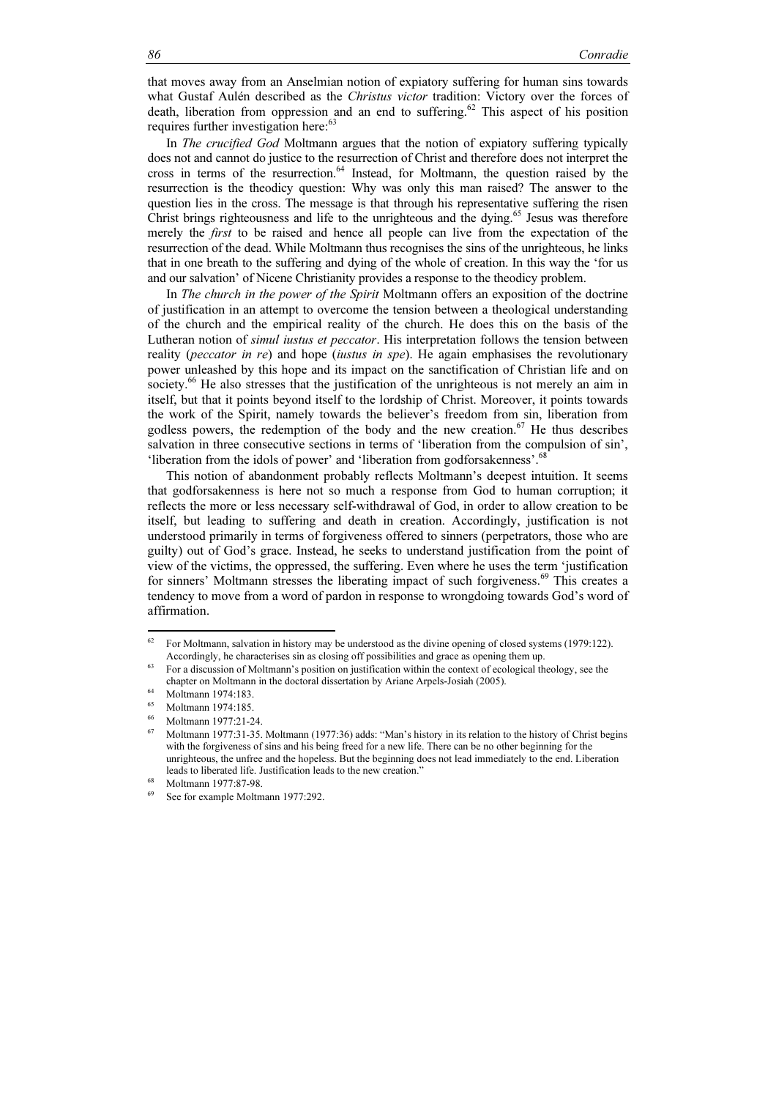that moves away from an Anselmian notion of expiatory suffering for human sins towards what Gustaf Aulén described as the *Christus victor* tradition: Victory over the forces of death, liberation from oppression and an end to suffering.<sup>62</sup> This aspect of his position requires further investigation here:<sup>63</sup>

In The crucified God Moltmann argues that the notion of expiatory suffering typically does not and cannot do justice to the resurrection of Christ and therefore does not interpret the cross in terms of the resurrection. $64$  Instead, for Moltmann, the question raised by the resurrection is the theodicy question: Why was only this man raised? The answer to the question lies in the cross. The message is that through his representative suffering the risen Christ brings righteousness and life to the unrighteous and the dying.<sup>65</sup> Jesus was therefore merely the *first* to be raised and hence all people can live from the expectation of the resurrection of the dead. While Moltmann thus recognises the sins of the unrighteous, he links that in one breath to the suffering and dying of the whole of creation. In this way the 'for us and our salvation' of Nicene Christianity provides a response to the theodicy problem.

In The church in the power of the Spirit Moltmann offers an exposition of the doctrine of justification in an attempt to overcome the tension between a theological understanding of the church and the empirical reality of the church. He does this on the basis of the Lutheran notion of *simul iustus et peccator*. His interpretation follows the tension between reality (*peccator in re*) and hope *(iustus in spe)*. He again emphasises the revolutionary power unleashed by this hope and its impact on the sanctification of Christian life and on society.<sup>66</sup> He also stresses that the justification of the unrighteous is not merely an aim in itself, but that it points beyond itself to the lordship of Christ. Moreover, it points towards the work of the Spirit, namely towards the believer's freedom from sin, liberation from godless powers, the redemption of the body and the new creation.<sup>67</sup> He thus describes salvation in three consecutive sections in terms of 'liberation from the compulsion of sin', 'liberation from the idols of power' and 'liberation from godforsakenness'.<sup>68</sup>

This notion of abandonment probably reflects Moltmann's deepest intuition. It seems that godforsakenness is here not so much a response from God to human corruption; it reflects the more or less necessary self-withdrawal of God, in order to allow creation to be itself, but leading to suffering and death in creation. Accordingly, justification is not understood primarily in terms of forgiveness offered to sinners (perpetrators, those who are guilty) out of God's grace. Instead, he seeks to understand justification from the point of view of the victims, the oppressed, the suffering. Even where he uses the term 'justification for sinners' Moltmann stresses the liberating impact of such forgiveness.<sup>69</sup> This creates a tendency to move from a word of pardon in response to wrongdoing towards God's word of affirmation.

 $62$ For Moltmann, salvation in history may be understood as the divine opening of closed systems (1979:122). Accordingly, he characterises sin as closing off possibilities and grace as opening them up.

<sup>&</sup>lt;sup>63</sup> For a discussion of Moltmann's position on justification within the context of ecological theology, see the chapter on Moltmann in the doctoral dissertation by Ariane Arpels-Josiah (2005).<br>Moltmann 1974:183.<br><sup>65</sup> Moltmann 1974:185.

Moltmann 1974:185.

Moltmann 1977:21-24.

Moltmann 1977:31-35. Moltmann (1977:36) adds: "Man's history in its relation to the history of Christ begins with the forgiveness of sins and his being freed for a new life. There can be no other beginning for the unrighteous, the unfree and the hopeless. But the beginning does not lead immediately to the end. Liberation leads to liberated life. Justification leads to the new creation." Moltmann 1977:87-98.

See for example Moltmann 1977:292.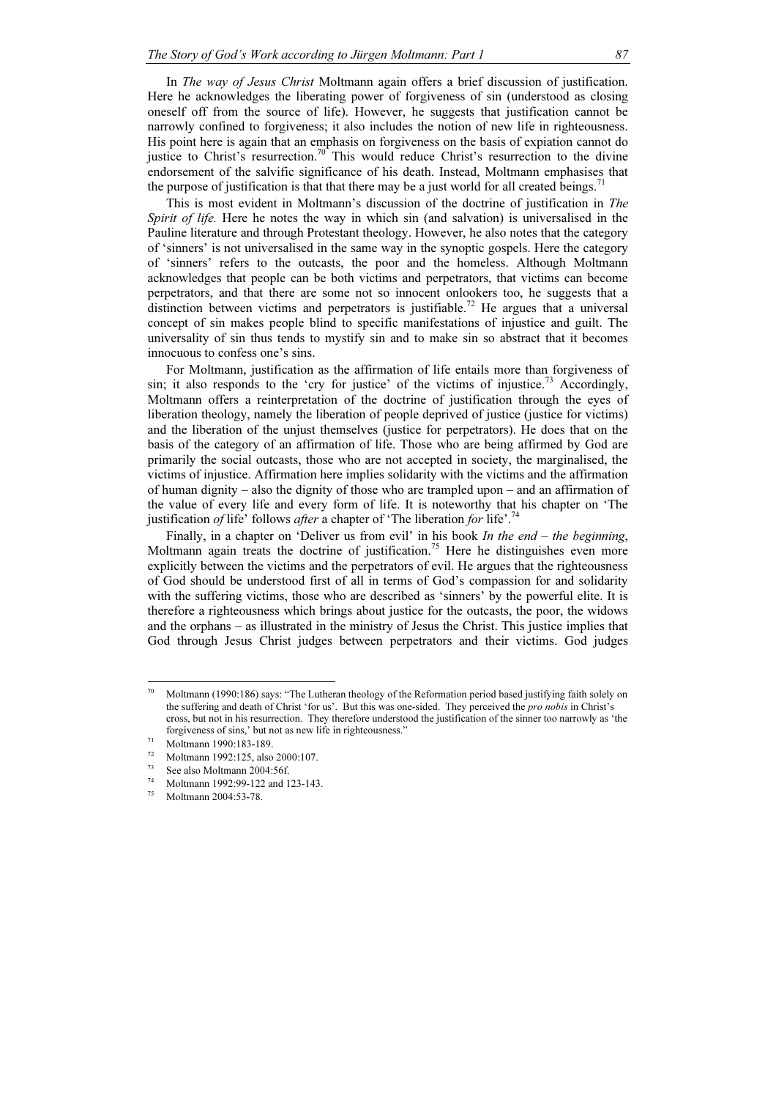In The way of Jesus Christ Moltmann again offers a brief discussion of justification. Here he acknowledges the liberating power of forgiveness of sin (understood as closing oneself off from the source of life). However, he suggests that justification cannot be narrowly confined to forgiveness; it also includes the notion of new life in righteousness. His point here is again that an emphasis on forgiveness on the basis of expiation cannot do justice to Christ's resurrection.<sup>70</sup> This would reduce Christ's resurrection to the divine endorsement of the salvific significance of his death. Instead, Moltmann emphasises that the purpose of justification is that that there may be a just world for all created beings.<sup>7</sup>

This is most evident in Moltmann's discussion of the doctrine of justification in The Spirit of life. Here he notes the way in which sin (and salvation) is universalised in the Pauline literature and through Protestant theology. However, he also notes that the category of 'sinners' is not universalised in the same way in the synoptic gospels. Here the category of 'sinners' refers to the outcasts, the poor and the homeless. Although Moltmann acknowledges that people can be both victims and perpetrators, that victims can become perpetrators, and that there are some not so innocent onlookers too, he suggests that a distinction between victims and perpetrators is justifiable.<sup>72</sup> He argues that a universal concept of sin makes people blind to specific manifestations of injustice and guilt. The universality of sin thus tends to mystify sin and to make sin so abstract that it becomes innocuous to confess one's sins.

For Moltmann, justification as the affirmation of life entails more than forgiveness of sin; it also responds to the 'cry for justice' of the victims of injustice.<sup>73</sup> Accordingly, Moltmann offers a reinterpretation of the doctrine of justification through the eyes of liberation theology, namely the liberation of people deprived of justice (justice for victims) and the liberation of the unjust themselves (justice for perpetrators). He does that on the basis of the category of an affirmation of life. Those who are being affirmed by God are primarily the social outcasts, those who are not accepted in society, the marginalised, the victims of injustice. Affirmation here implies solidarity with the victims and the affirmation of human dignity – also the dignity of those who are trampled upon – and an affirmation of the value of every life and every form of life. It is noteworthy that his chapter on 'The justification of life' follows after a chapter of 'The liberation for life'.<sup>74</sup>

Finally, in a chapter on 'Deliver us from evil' in his book In the end – the beginning, Moltmann again treats the doctrine of justification.<sup>75</sup> Here he distinguishes even more explicitly between the victims and the perpetrators of evil. He argues that the righteousness of God should be understood first of all in terms of God's compassion for and solidarity with the suffering victims, those who are described as 'sinners' by the powerful elite. It is therefore a righteousness which brings about justice for the outcasts, the poor, the widows and the orphans – as illustrated in the ministry of Jesus the Christ. This justice implies that God through Jesus Christ judges between perpetrators and their victims. God judges

 $70$ <sup>70</sup> Moltmann (1990:186) says: "The Lutheran theology of the Reformation period based justifying faith solely on the suffering and death of Christ 'for us'. But this was one-sided. They perceived the pro nobis in Christ's cross, but not in his resurrection. They therefore understood the justification of the sinner too narrowly as 'the forgiveness of sins,' but not as new life in righteousness."<br>
Moltmann 1990:183-189.<br>
<sup>72</sup> Moltmann 1990:125 also 2000:107

 $^{72}$  Moltmann 1992:125, also 2000:107.

<sup>&</sup>lt;sup>73</sup> See also Moltmann 2004:56f.<br> $^{74}$  Moltmann 1002:00-122 and 1

 $^{74}$  Moltmann 1992:99-122 and 123-143.<br> $^{75}$  Moltmann 2004:53-78

Moltmann 2004:53-78.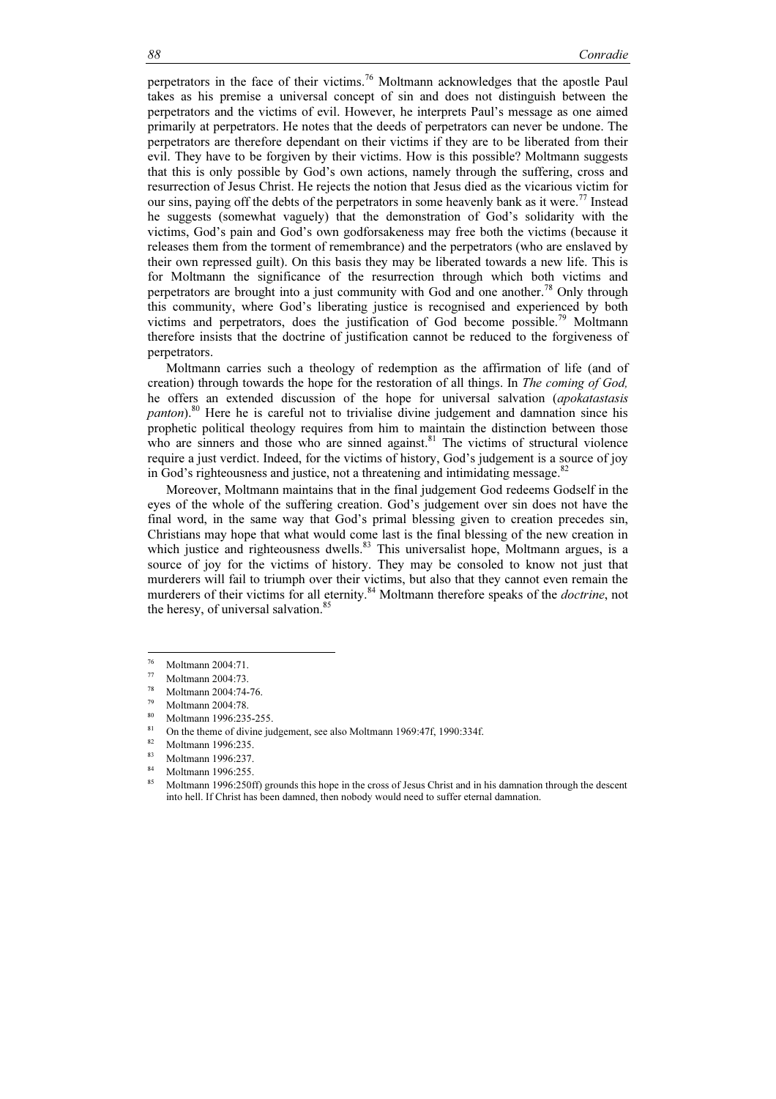perpetrators in the face of their victims.<sup>76</sup> Moltmann acknowledges that the apostle Paul takes as his premise a universal concept of sin and does not distinguish between the perpetrators and the victims of evil. However, he interprets Paul's message as one aimed primarily at perpetrators. He notes that the deeds of perpetrators can never be undone. The perpetrators are therefore dependant on their victims if they are to be liberated from their evil. They have to be forgiven by their victims. How is this possible? Moltmann suggests that this is only possible by God's own actions, namely through the suffering, cross and resurrection of Jesus Christ. He rejects the notion that Jesus died as the vicarious victim for our sins, paying off the debts of the perpetrators in some heavenly bank as it were.<sup>77</sup> Instead he suggests (somewhat vaguely) that the demonstration of God's solidarity with the victims, God's pain and God's own godforsakeness may free both the victims (because it releases them from the torment of remembrance) and the perpetrators (who are enslaved by their own repressed guilt). On this basis they may be liberated towards a new life. This is for Moltmann the significance of the resurrection through which both victims and perpetrators are brought into a just community with God and one another.<sup>78</sup> Only through this community, where God's liberating justice is recognised and experienced by both victims and perpetrators, does the justification of God become possible.<sup>79</sup> Moltmann therefore insists that the doctrine of justification cannot be reduced to the forgiveness of perpetrators.

Moltmann carries such a theology of redemption as the affirmation of life (and of creation) through towards the hope for the restoration of all things. In The coming of God, he offers an extended discussion of the hope for universal salvation (*apokatastasis panton*).<sup>80</sup> Here he is careful not to trivialise divine judgement and damnation since his prophetic political theology requires from him to maintain the distinction between those who are sinners and those who are sinned against.<sup>81</sup> The victims of structural violence require a just verdict. Indeed, for the victims of history, God's judgement is a source of joy in God's righteousness and justice, not a threatening and intimidating message.<sup>82</sup>

Moreover, Moltmann maintains that in the final judgement God redeems Godself in the eyes of the whole of the suffering creation. God's judgement over sin does not have the final word, in the same way that God's primal blessing given to creation precedes sin, Christians may hope that what would come last is the final blessing of the new creation in which justice and righteousness dwells.<sup>83</sup> This universalist hope, Moltmann argues, is a source of joy for the victims of history. They may be consoled to know not just that murderers will fail to triumph over their victims, but also that they cannot even remain the murderers of their victims for all eternity.<sup>84</sup> Moltmann therefore speaks of the *doctrine*, not the heresy, of universal salvation. $85$ 

 $76$  $^{76}$  Moltmann 2004:71.

 $^{77}$  Moltmann 2004:73.

Moltmann 2004:74-76.

<sup>79</sup> Moltmann 2004:78.

Moltmann 1996:235-255.

<sup>&</sup>lt;sup>81</sup> On the theme of divine judgement, see also Moltmann 1969:47f, 1990:334f.

 $\frac{82}{83}$  Moltmann 1996:235.

Moltmann 1996:237.

 $^{84}$  Moltmann 1996:255.

<sup>85</sup> Moltmann 1996:250ff) grounds this hope in the cross of Jesus Christ and in his damnation through the descent into hell. If Christ has been damned, then nobody would need to suffer eternal damnation.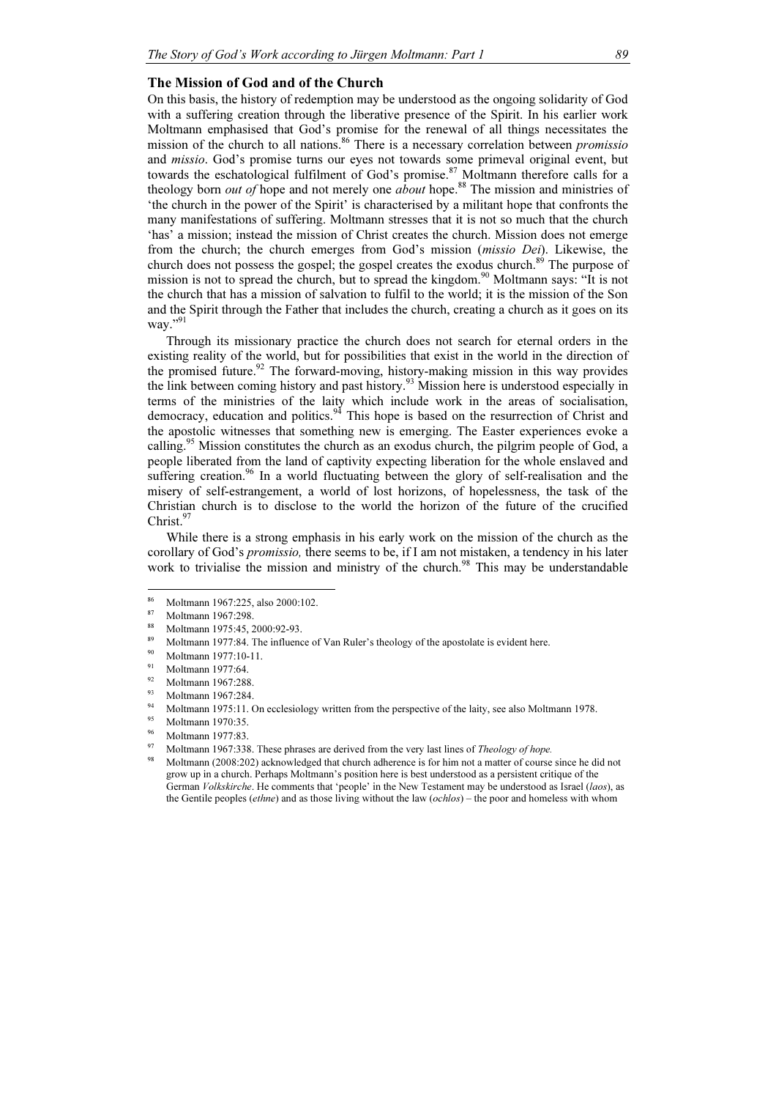#### The Mission of God and of the Church

On this basis, the history of redemption may be understood as the ongoing solidarity of God with a suffering creation through the liberative presence of the Spirit. In his earlier work Moltmann emphasised that God's promise for the renewal of all things necessitates the mission of the church to all nations.<sup>86</sup> There is a necessary correlation between *promissio* and missio. God's promise turns our eyes not towards some primeval original event, but towards the eschatological fulfilment of God's promise.<sup>87</sup> Moltmann therefore calls for a theology born *out of* hope and not merely one *about* hope.<sup>88</sup> The mission and ministries of 'the church in the power of the Spirit' is characterised by a militant hope that confronts the many manifestations of suffering. Moltmann stresses that it is not so much that the church 'has' a mission; instead the mission of Christ creates the church. Mission does not emerge from the church; the church emerges from God's mission (missio Dei). Likewise, the church does not possess the gospel; the gospel creates the exodus church.<sup>89</sup> The purpose of mission is not to spread the church, but to spread the kingdom.<sup>90</sup> Moltmann says: "It is not the church that has a mission of salvation to fulfil to the world; it is the mission of the Son and the Spirit through the Father that includes the church, creating a church as it goes on its way." $^{91}$ 

Through its missionary practice the church does not search for eternal orders in the existing reality of the world, but for possibilities that exist in the world in the direction of the promised future.<sup>92</sup> The forward-moving, history-making mission in this way provides the link between coming history and past history.<sup>93</sup> Mission here is understood especially in terms of the ministries of the laity which include work in the areas of socialisation, democracy, education and politics.<sup>94</sup> This hope is based on the resurrection of Christ and the apostolic witnesses that something new is emerging. The Easter experiences evoke a calling.<sup>95</sup> Mission constitutes the church as an exodus church, the pilgrim people of God, a people liberated from the land of captivity expecting liberation for the whole enslaved and suffering creation.<sup>96</sup> In a world fluctuating between the glory of self-realisation and the misery of self-estrangement, a world of lost horizons, of hopelessness, the task of the Christian church is to disclose to the world the horizon of the future of the crucified Christ. $97$ 

While there is a strong emphasis in his early work on the mission of the church as the corollary of God's *promissio*, there seems to be, if I am not mistaken, a tendency in his later work to trivialise the mission and ministry of the church.<sup>98</sup> This may be understandable

 $86$ 86 Moltmann 1967:225, also 2000:102.

 $^{87}$  Moltmann 1967:298.

<sup>&</sup>lt;sup>88</sup> Moltmann 1975:45, 2000:92-93.

Moltmann 1977:84. The influence of Van Ruler's theology of the apostolate is evident here.

 $^{90}$  Moltmann 1977:10-11.

 $^{91}$  Moltmann 1977:64.

 $^{92}$  Moltmann 1967:288.

Moltmann 1967:284

<sup>&</sup>lt;sup>94</sup> Moltmann 1975:11. On ecclesiology written from the perspective of the laity, see also Moltmann 1978.

Moltmann 1970:35.

Moltmann 1977:83.

Moltmann 1967:338. These phrases are derived from the very last lines of Theology of hope.

Moltmann (2008:202) acknowledged that church adherence is for him not a matter of course since he did not grow up in a church. Perhaps Moltmann's position here is best understood as a persistent critique of the German Volkskirche. He comments that 'people' in the New Testament may be understood as Israel (laos), as the Gentile peoples (ethne) and as those living without the law (ochlos) – the poor and homeless with whom